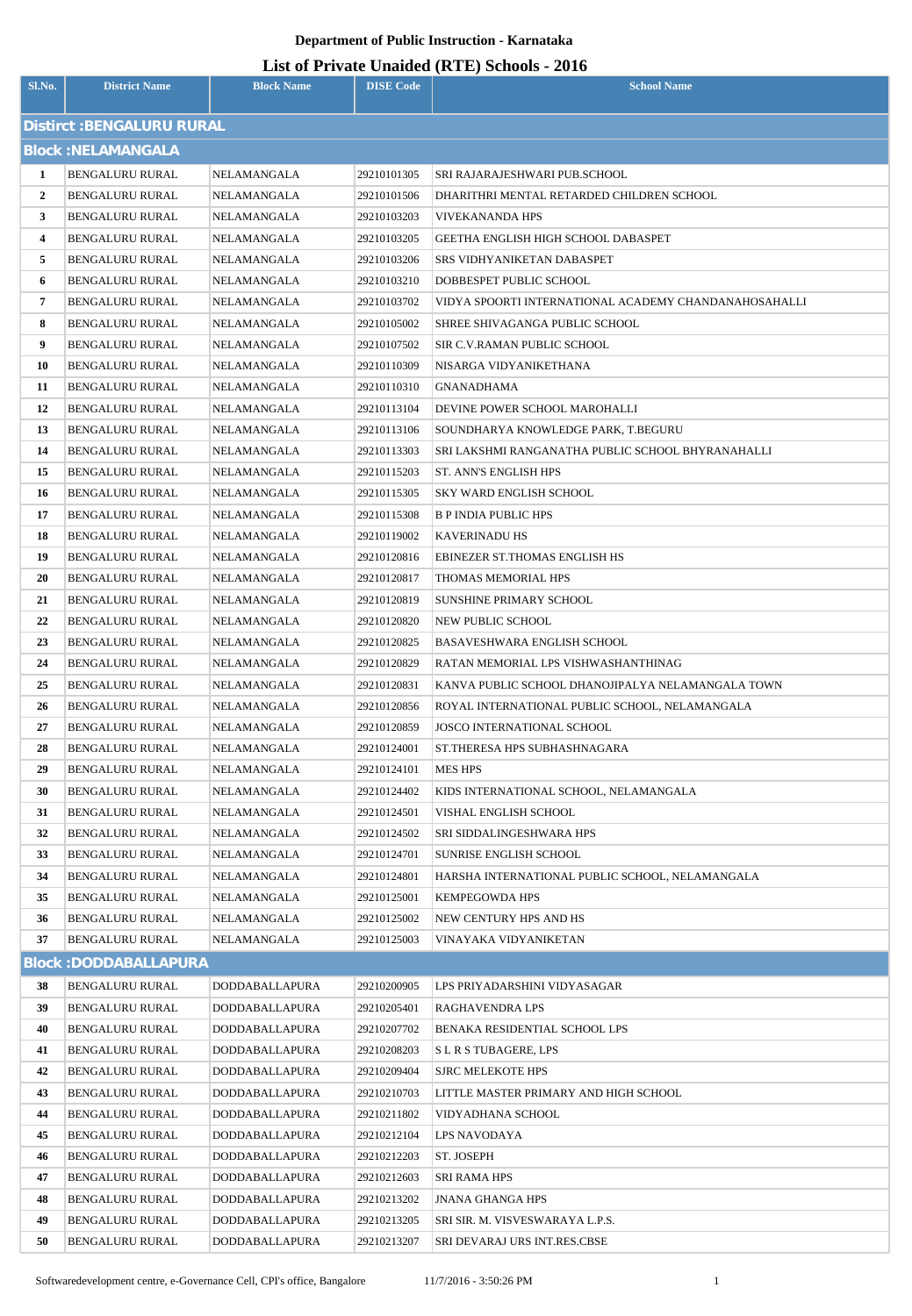| List of Private Unaided (RTE) Schools - 2016 |
|----------------------------------------------|
|----------------------------------------------|

| Sl.No.                           | <b>District Name</b>                             | <b>Block Name</b>          | <b>DISE Code</b>           | $\mathbf{L}_{\text{net}}$ of The accuracy (KTL) behoofs $\mathbf{F}_{\text{net}}$<br><b>School Name</b> |  |
|----------------------------------|--------------------------------------------------|----------------------------|----------------------------|---------------------------------------------------------------------------------------------------------|--|
| <b>Distirct: BENGALURU RURAL</b> |                                                  |                            |                            |                                                                                                         |  |
|                                  | <b>Block: NELAMANGALA</b>                        |                            |                            |                                                                                                         |  |
| 1                                | <b>BENGALURU RURAL</b>                           | NELAMANGALA                | 29210101305                | SRI RAJARAJESHWARI PUB.SCHOOL                                                                           |  |
| $\mathbf{2}$                     | <b>BENGALURU RURAL</b>                           | NELAMANGALA                | 29210101506                | DHARITHRI MENTAL RETARDED CHILDREN SCHOOL                                                               |  |
| 3                                | BENGALURU RURAL                                  | NELAMANGALA                | 29210103203                | <b>VIVEKANANDA HPS</b>                                                                                  |  |
| 4                                | <b>BENGALURU RURAL</b>                           | NELAMANGALA                | 29210103205                | GEETHA ENGLISH HIGH SCHOOL DABASPET                                                                     |  |
| 5                                | <b>BENGALURU RURAL</b>                           | NELAMANGALA                | 29210103206                | SRS VIDHYANIKETAN DABASPET                                                                              |  |
| 6                                | <b>BENGALURU RURAL</b>                           | NELAMANGALA                | 29210103210                | DOBBESPET PUBLIC SCHOOL                                                                                 |  |
| 7                                | <b>BENGALURU RURAL</b>                           | NELAMANGALA                | 29210103702                | VIDYA SPOORTI INTERNATIONAL ACADEMY CHANDANAHOSAHALLI                                                   |  |
| 8                                | BENGALURU RURAL                                  | NELAMANGALA                | 29210105002                | SHREE SHIVAGANGA PUBLIC SCHOOL                                                                          |  |
| 9                                | <b>BENGALURU RURAL</b>                           | NELAMANGALA                | 29210107502                | SIR C.V.RAMAN PUBLIC SCHOOL                                                                             |  |
| 10                               | BENGALURU RURAL                                  | NELAMANGALA                | 29210110309                | NISARGA VIDYANIKETHANA                                                                                  |  |
| 11                               | <b>BENGALURU RURAL</b>                           | NELAMANGALA                | 29210110310                | <b>GNANADHAMA</b>                                                                                       |  |
| 12                               | <b>BENGALURU RURAL</b>                           | NELAMANGALA                | 29210113104                | DEVINE POWER SCHOOL MAROHALLI                                                                           |  |
| 13                               | <b>BENGALURU RURAL</b>                           | NELAMANGALA                | 29210113106                | SOUNDHARYA KNOWLEDGE PARK, T.BEGURU                                                                     |  |
| 14                               | BENGALURU RURAL                                  | NELAMANGALA                | 29210113303                | SRI LAKSHMI RANGANATHA PUBLIC SCHOOL BHYRANAHALLI                                                       |  |
| 15                               | <b>BENGALURU RURAL</b>                           | NELAMANGALA                | 29210115203                | ST. ANN'S ENGLISH HPS                                                                                   |  |
| 16                               | <b>BENGALURU RURAL</b>                           | NELAMANGALA                | 29210115305                | SKY WARD ENGLISH SCHOOL                                                                                 |  |
| 17                               | <b>BENGALURU RURAL</b>                           | NELAMANGALA                | 29210115308                | <b>B P INDIA PUBLIC HPS</b>                                                                             |  |
| 18                               | BENGALURU RURAL                                  | NELAMANGALA                | 29210119002                | <b>KAVERINADU HS</b>                                                                                    |  |
| 19                               | BENGALURU RURAL                                  | NELAMANGALA                | 29210120816                | EBINEZER ST.THOMAS ENGLISH HS                                                                           |  |
| 20                               | BENGALURU RURAL                                  | NELAMANGALA                | 29210120817                | THOMAS MEMORIAL HPS                                                                                     |  |
| 21                               | <b>BENGALURU RURAL</b>                           | NELAMANGALA                | 29210120819                | SUNSHINE PRIMARY SCHOOL                                                                                 |  |
| 22                               | <b>BENGALURU RURAL</b>                           | NELAMANGALA                | 29210120820                | NEW PUBLIC SCHOOL                                                                                       |  |
| 23                               | BENGALURU RURAL                                  | NELAMANGALA                | 29210120825                | BASAVESHWARA ENGLISH SCHOOL                                                                             |  |
| 24                               | BENGALURU RURAL                                  | NELAMANGALA                | 29210120829                | RATAN MEMORIAL LPS VISHWASHANTHINAG                                                                     |  |
| 25                               | <b>BENGALURU RURAL</b>                           | NELAMANGALA                | 29210120831                | KANVA PUBLIC SCHOOL DHANOJIPALYA NELAMANGALA TOWN                                                       |  |
| 26                               | <b>BENGALURU RURAL</b>                           | NELAMANGALA                | 29210120856                | ROYAL INTERNATIONAL PUBLIC SCHOOL, NELAMANGALA                                                          |  |
| 27                               | <b>BENGALURU RURAL</b>                           | NELAMANGALA                | 29210120859                | <b>JOSCO INTERNATIONAL SCHOOL</b>                                                                       |  |
| 28<br>29                         | <b>BENGALURU RURAL</b><br><b>BENGALURU RURAL</b> | NELAMANGALA<br>NELAMANGALA | 29210124001<br>29210124101 | ST.THERESA HPS SUBHASHNAGARA<br><b>MES HPS</b>                                                          |  |
| 30                               | BENGALURU RURAL                                  | NELAMANGALA                | 29210124402                | KIDS INTERNATIONAL SCHOOL, NELAMANGALA                                                                  |  |
| 31                               | <b>BENGALURU RURAL</b>                           | NELAMANGALA                | 29210124501                | VISHAL ENGLISH SCHOOL                                                                                   |  |
| 32                               | <b>BENGALURU RURAL</b>                           | NELAMANGALA                | 29210124502                | SRI SIDDALINGESHWARA HPS                                                                                |  |
| 33                               | <b>BENGALURU RURAL</b>                           | NELAMANGALA                | 29210124701                | SUNRISE ENGLISH SCHOOL                                                                                  |  |
| 34                               | <b>BENGALURU RURAL</b>                           | NELAMANGALA                | 29210124801                | HARSHA INTERNATIONAL PUBLIC SCHOOL, NELAMANGALA                                                         |  |
| 35                               | BENGALURU RURAL                                  | NELAMANGALA                | 29210125001                | <b>KEMPEGOWDA HPS</b>                                                                                   |  |
| 36                               | <b>BENGALURU RURAL</b>                           | NELAMANGALA                | 29210125002                | NEW CENTURY HPS AND HS                                                                                  |  |
| 37                               | <b>BENGALURU RURAL</b>                           | NELAMANGALA                | 29210125003                | VINAYAKA VIDYANIKETAN                                                                                   |  |
|                                  | <b>Block: DODDABALLAPURA</b>                     |                            |                            |                                                                                                         |  |
| 38                               | <b>BENGALURU RURAL</b>                           | DODDABALLAPURA             | 29210200905                | LPS PRIYADARSHINI VIDYASAGAR                                                                            |  |
| 39                               | <b>BENGALURU RURAL</b>                           | DODDABALLAPURA             | 29210205401                | RAGHAVENDRA LPS                                                                                         |  |
| 40                               | <b>BENGALURU RURAL</b>                           | DODDABALLAPURA             | 29210207702                | BENAKA RESIDENTIAL SCHOOL LPS                                                                           |  |
| 41                               | BENGALURU RURAL                                  | DODDABALLAPURA             | 29210208203                | S L R S TUBAGERE, LPS                                                                                   |  |
| 42                               | <b>BENGALURU RURAL</b>                           | DODDABALLAPURA             | 29210209404                | <b>SJRC MELEKOTE HPS</b>                                                                                |  |
| 43                               | <b>BENGALURU RURAL</b>                           | DODDABALLAPURA             | 29210210703                | LITTLE MASTER PRIMARY AND HIGH SCHOOL                                                                   |  |
| 44                               | <b>BENGALURU RURAL</b>                           | DODDABALLAPURA             | 29210211802                | VIDYADHANA SCHOOL                                                                                       |  |
| 45                               | <b>BENGALURU RURAL</b>                           | DODDABALLAPURA             | 29210212104                | LPS NAVODAYA                                                                                            |  |
| 46                               | BENGALURU RURAL                                  | <b>DODDABALLAPURA</b>      | 29210212203                | ST. JOSEPH                                                                                              |  |
| 47                               | <b>BENGALURU RURAL</b>                           | <b>DODDABALLAPURA</b>      | 29210212603                | SRI RAMA HPS                                                                                            |  |
| 48                               | <b>BENGALURU RURAL</b>                           | DODDABALLAPURA             | 29210213202                | <b>JNANA GHANGA HPS</b>                                                                                 |  |
| 49                               | <b>BENGALURU RURAL</b>                           | DODDABALLAPURA             | 29210213205                | SRI SIR. M. VISVESWARAYA L.P.S.                                                                         |  |
| 50                               | BENGALURU RURAL                                  | DODDABALLAPURA             | 29210213207                | SRI DEVARAJ URS INT.RES.CBSE                                                                            |  |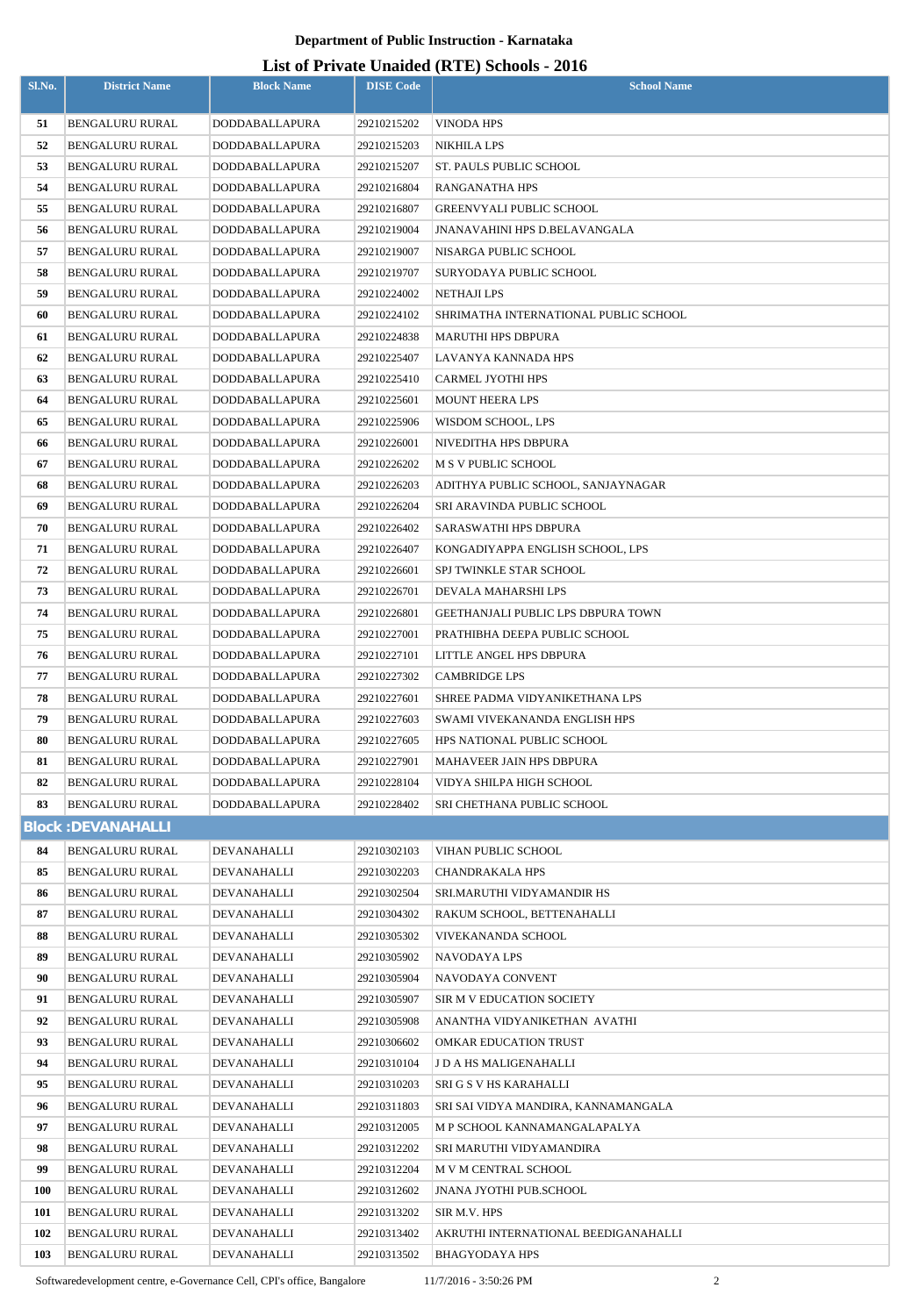# **List of Private Unaided (RTE) Schools - 2016**

|            |                                    |                            |                            | List of Frivate Unaffect (KFL) SCHOOLS - 2010    |
|------------|------------------------------------|----------------------------|----------------------------|--------------------------------------------------|
| Sl.No.     | <b>District Name</b>               | <b>Block Name</b>          | <b>DISE Code</b>           | <b>School Name</b>                               |
| 51         | <b>BENGALURU RURAL</b>             | DODDABALLAPURA             | 29210215202                | VINODA HPS                                       |
| 52         | BENGALURU RURAL                    | DODDABALLAPURA             | 29210215203                | NIKHILA LPS                                      |
| 53         | BENGALURU RURAL                    | DODDABALLAPURA             | 29210215207                | <b>ST. PAULS PUBLIC SCHOOL</b>                   |
| 54         | <b>BENGALURU RURAL</b>             | DODDABALLAPURA             | 29210216804                | <b>RANGANATHA HPS</b>                            |
| 55         | <b>BENGALURU RURAL</b>             | DODDABALLAPURA             | 29210216807                | <b>GREENVYALI PUBLIC SCHOOL</b>                  |
| 56         | BENGALURU RURAL                    | DODDABALLAPURA             | 29210219004                | <b>JNANAVAHINI HPS D.BELAVANGALA</b>             |
| 57         | BENGALURU RURAL                    | DODDABALLAPURA             | 29210219007                | NISARGA PUBLIC SCHOOL                            |
| 58         | <b>BENGALURU RURAL</b>             | DODDABALLAPURA             | 29210219707                | SURYODAYA PUBLIC SCHOOL                          |
| 59         | <b>BENGALURU RURAL</b>             | DODDABALLAPURA             | 29210224002                | <b>NETHAJI LPS</b>                               |
| 60         | BENGALURU RURAL                    | DODDABALLAPURA             | 29210224102                | SHRIMATHA INTERNATIONAL PUBLIC SCHOOL            |
| 61         | BENGALURU RURAL                    | DODDABALLAPURA             | 29210224838                | <b>MARUTHI HPS DBPURA</b>                        |
| 62         | <b>BENGALURU RURAL</b>             | DODDABALLAPURA             | 29210225407                | LAVANYA KANNADA HPS                              |
| 63         | <b>BENGALURU RURAL</b>             | DODDABALLAPURA             | 29210225410                | <b>CARMEL JYOTHI HPS</b>                         |
| 64         | BENGALURU RURAL                    | DODDABALLAPURA             | 29210225601                | <b>MOUNT HEERA LPS</b>                           |
| 65         | BENGALURU RURAL                    | DODDABALLAPURA             | 29210225906                | WISDOM SCHOOL, LPS                               |
| 66         | <b>BENGALURU RURAL</b>             | DODDABALLAPURA             | 29210226001                | NIVEDITHA HPS DBPURA                             |
| 67         | BENGALURU RURAL                    | DODDABALLAPURA             | 29210226202                | M S V PUBLIC SCHOOL                              |
| 68         | BENGALURU RURAL                    | DODDABALLAPURA             | 29210226203                | ADITHYA PUBLIC SCHOOL, SANJAYNAGAR               |
| 69         | <b>BENGALURU RURAL</b>             | DODDABALLAPURA             | 29210226204                | SRI ARAVINDA PUBLIC SCHOOL                       |
| 70         | <b>BENGALURU RURAL</b>             | DODDABALLAPURA             | 29210226402                | SARASWATHI HPS DBPURA                            |
| 71         | BENGALURU RURAL                    | DODDABALLAPURA             | 29210226407                | KONGADIYAPPA ENGLISH SCHOOL, LPS                 |
| 72         | <b>BENGALURU RURAL</b>             | DODDABALLAPURA             | 29210226601                | SPJ TWINKLE STAR SCHOOL                          |
| 73         | <b>BENGALURU RURAL</b>             | DODDABALLAPURA             | 29210226701                | DEVALA MAHARSHI LPS                              |
| 74         | <b>BENGALURU RURAL</b>             | DODDABALLAPURA             | 29210226801                | <b>GEETHANJALI PUBLIC LPS DBPURA TOWN</b>        |
| 75         | <b>BENGALURU RURAL</b>             | DODDABALLAPURA             | 29210227001                | PRATHIBHA DEEPA PUBLIC SCHOOL                    |
| 76         | <b>BENGALURU RURAL</b>             | DODDABALLAPURA             | 29210227101                | LITTLE ANGEL HPS DBPURA                          |
| 77         | <b>BENGALURU RURAL</b>             | DODDABALLAPURA             | 29210227302                | <b>CAMBRIDGE LPS</b>                             |
| 78         | <b>BENGALURU RURAL</b>             | DODDABALLAPURA             | 29210227601                | SHREE PADMA VIDYANIKETHANA LPS                   |
| 79         | BENGALURU RURAL                    | DODDABALLAPURA             | 29210227603                | SWAMI VIVEKANANDA ENGLISH HPS                    |
| 80         | <b>BENGALURU RURAL</b>             | <b>DODDABALLAPURA</b>      | 29210227605                | HPS NATIONAL PUBLIC SCHOOL                       |
| 81         | <b>BENGALURU RURAL</b>             | DODDABALLAPURA             | 29210227901                | MAHAVEER JAIN HPS DBPURA                         |
| 82         | BENGALURU RURAL                    | DODDABALLAPURA             | 29210228104                | VIDYA SHILPA HIGH SCHOOL                         |
| 83         | <b>BENGALURU RURAL</b>             | DODDABALLAPURA             | 29210228402                | SRI CHETHANA PUBLIC SCHOOL                       |
|            | <b>Block: DEVANAHALLI</b>          |                            |                            |                                                  |
| 84         | <b>BENGALURU RURAL</b>             | DEVANAHALLI                | 29210302103                | VIHAN PUBLIC SCHOOL                              |
| 85         | <b>BENGALURU RURAL</b>             | DEVANAHALLI                | 29210302203                | <b>CHANDRAKALA HPS</b>                           |
| 86         | <b>BENGALURU RURAL</b>             | DEVANAHALLI                | 29210302504                | SRI.MARUTHI VIDYAMANDIR HS                       |
| 87<br>88   | BENGALURU RURAL<br>BENGALURU RURAL | DEVANAHALLI<br>DEVANAHALLI | 29210304302<br>29210305302 | RAKUM SCHOOL, BETTENAHALLI<br>VIVEKANANDA SCHOOL |
| 89         | <b>BENGALURU RURAL</b>             | DEVANAHALLI                | 29210305902                | <b>NAVODAYA LPS</b>                              |
| 90         | <b>BENGALURU RURAL</b>             | DEVANAHALLI                | 29210305904                | NAVODAYA CONVENT                                 |
| 91         | BENGALURU RURAL                    | DEVANAHALLI                | 29210305907                | SIR M V EDUCATION SOCIETY                        |
| 92         | <b>BENGALURU RURAL</b>             | DEVANAHALLI                | 29210305908                | ANANTHA VIDYANIKETHAN AVATHI                     |
| 93         | <b>BENGALURU RURAL</b>             | DEVANAHALLI                | 29210306602                | <b>OMKAR EDUCATION TRUST</b>                     |
| 94         | <b>BENGALURU RURAL</b>             | DEVANAHALLI                | 29210310104                | J D A HS MALIGENAHALLI                           |
| 95         | BENGALURU RURAL                    | DEVANAHALLI                | 29210310203                | <b>SRI G S V HS KARAHALLI</b>                    |
| 96         | BENGALURU RURAL                    | DEVANAHALLI                | 29210311803                | SRI SAI VIDYA MANDIRA, KANNAMANGALA              |
| 97         | <b>BENGALURU RURAL</b>             | DEVANAHALLI                | 29210312005                | M P SCHOOL KANNAMANGALAPALYA                     |
| 98         | BENGALURU RURAL                    | DEVANAHALLI                | 29210312202                | SRI MARUTHI VIDYAMANDIRA                         |
| 99         | <b>BENGALURU RURAL</b>             | DEVANAHALLI                | 29210312204                | M V M CENTRAL SCHOOL                             |
| <b>100</b> | BENGALURU RURAL                    | DEVANAHALLI                | 29210312602                | <b>JNANA JYOTHI PUB.SCHOOL</b>                   |
| 101        | <b>BENGALURU RURAL</b>             | DEVANAHALLI                | 29210313202                | SIR M.V. HPS                                     |
| 102        | <b>BENGALURU RURAL</b>             | DEVANAHALLI                | 29210313402                | AKRUTHI INTERNATIONAL BEEDIGANAHALLI             |
| 103        | <b>BENGALURU RURAL</b>             | DEVANAHALLI                | 29210313502                | BHAGYODAYA HPS                                   |

Softwaredevelopment centre, e-Governance Cell, CPI's office, Bangalore 11/7/2016 - 3:50:26 PM 2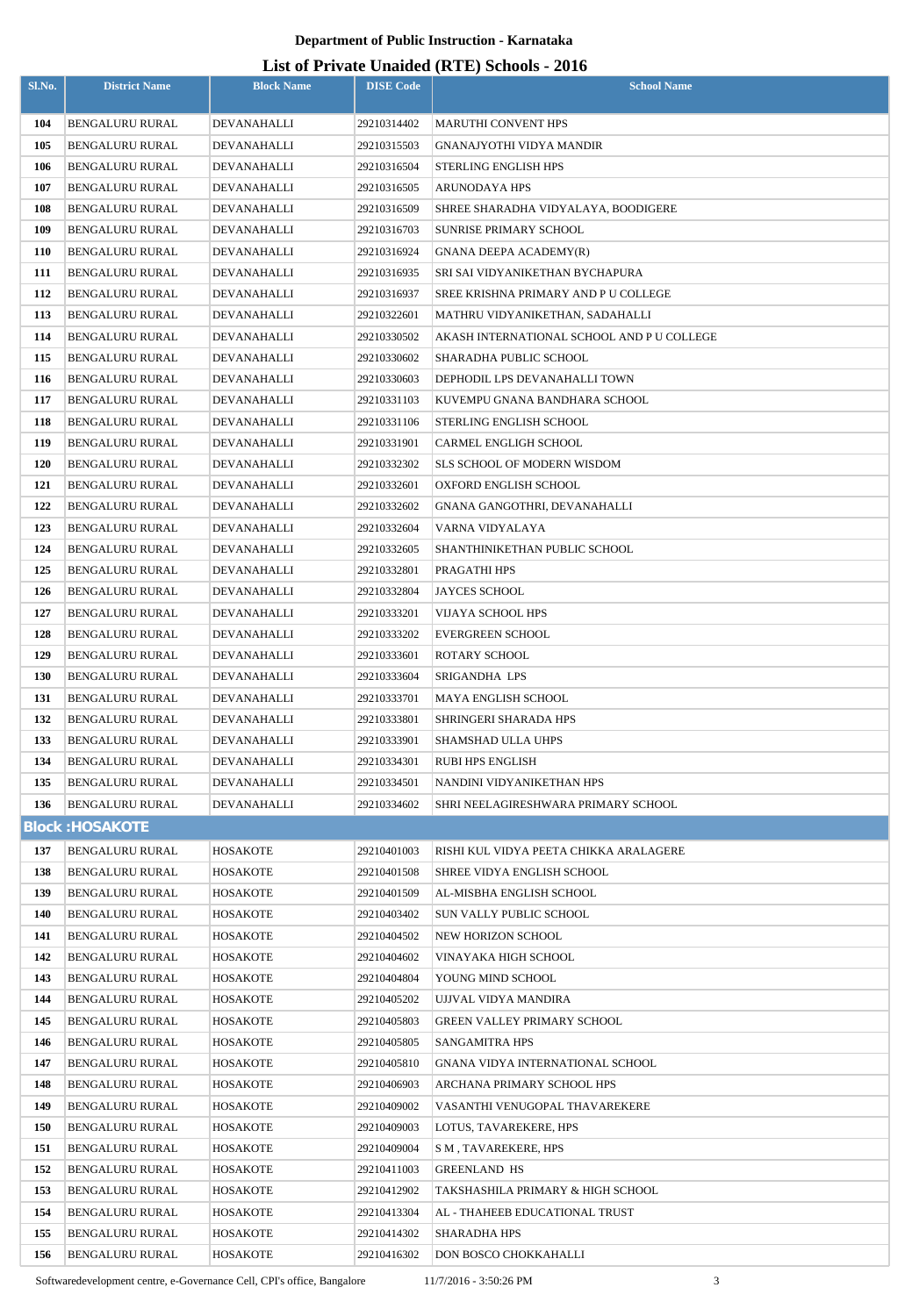#### **List of Private Unaided (RTE) Schools - 2016**

| Sl.No.     | <b>District Name</b>                      | <b>Block Name</b>          | <b>DISE Code</b>           | $\frac{1}{2}$<br><b>School Name</b>                           |
|------------|-------------------------------------------|----------------------------|----------------------------|---------------------------------------------------------------|
|            |                                           |                            |                            |                                                               |
| 104<br>105 | <b>BENGALURU RURAL</b><br>BENGALURU RURAL | DEVANAHALLI<br>DEVANAHALLI | 29210314402                | <b>MARUTHI CONVENT HPS</b><br><b>GNANAJYOTHI VIDYA MANDIR</b> |
| 106        | <b>BENGALURU RURAL</b>                    | DEVANAHALLI                | 29210315503<br>29210316504 | <b>STERLING ENGLISH HPS</b>                                   |
| 107        | <b>BENGALURU RURAL</b>                    | DEVANAHALLI                | 29210316505                | ARUNODAYA HPS                                                 |
| 108        | <b>BENGALURU RURAL</b>                    | DEVANAHALLI                | 29210316509                | SHREE SHARADHA VIDYALAYA, BOODIGERE                           |
| 109        | <b>BENGALURU RURAL</b>                    | DEVANAHALLI                | 29210316703                | <b>SUNRISE PRIMARY SCHOOL</b>                                 |
| 110        | <b>BENGALURU RURAL</b>                    | DEVANAHALLI                | 29210316924                | <b>GNANA DEEPA ACADEMY(R)</b>                                 |
| 111        | <b>BENGALURU RURAL</b>                    | DEVANAHALLI                | 29210316935                | SRI SAI VIDYANIKETHAN BYCHAPURA                               |
| 112        | BENGALURU RURAL                           | DEVANAHALLI                | 29210316937                | SREE KRISHNA PRIMARY AND P U COLLEGE                          |
| 113        | <b>BENGALURU RURAL</b>                    | DEVANAHALLI                | 29210322601                | MATHRU VIDYANIKETHAN, SADAHALLI                               |
| 114        | <b>BENGALURU RURAL</b>                    | DEVANAHALLI                | 29210330502                | AKASH INTERNATIONAL SCHOOL AND P U COLLEGE                    |
| 115        | <b>BENGALURU RURAL</b>                    | DEVANAHALLI                | 29210330602                | SHARADHA PUBLIC SCHOOL                                        |
| 116        | <b>BENGALURU RURAL</b>                    | DEVANAHALLI                | 29210330603                | DEPHODIL LPS DEVANAHALLI TOWN                                 |
| 117        | <b>BENGALURU RURAL</b>                    | DEVANAHALLI                | 29210331103                | KUVEMPU GNANA BANDHARA SCHOOL                                 |
| 118        | <b>BENGALURU RURAL</b>                    | DEVANAHALLI                | 29210331106                | STERLING ENGLISH SCHOOL                                       |
| 119        | <b>BENGALURU RURAL</b>                    | DEVANAHALLI                | 29210331901                | CARMEL ENGLIGH SCHOOL                                         |
| 120        | <b>BENGALURU RURAL</b>                    | DEVANAHALLI                | 29210332302                | <b>SLS SCHOOL OF MODERN WISDOM</b>                            |
| 121        | <b>BENGALURU RURAL</b>                    | DEVANAHALLI                | 29210332601                | OXFORD ENGLISH SCHOOL                                         |
| 122        | <b>BENGALURU RURAL</b>                    | DEVANAHALLI                | 29210332602                | GNANA GANGOTHRI, DEVANAHALLI                                  |
| 123        | <b>BENGALURU RURAL</b>                    | DEVANAHALLI                | 29210332604                | VARNA VIDYALAYA                                               |
| 124        | <b>BENGALURU RURAL</b>                    | DEVANAHALLI                | 29210332605                | SHANTHINIKETHAN PUBLIC SCHOOL                                 |
| 125        | <b>BENGALURU RURAL</b>                    | DEVANAHALLI                | 29210332801                | PRAGATHI HPS                                                  |
| 126        | <b>BENGALURU RURAL</b>                    | DEVANAHALLI                | 29210332804                | <b>JAYCES SCHOOL</b>                                          |
| 127        | <b>BENGALURU RURAL</b>                    | DEVANAHALLI                | 29210333201                | VIJAYA SCHOOL HPS                                             |
| 128        | <b>BENGALURU RURAL</b>                    | DEVANAHALLI                | 29210333202                | <b>EVERGREEN SCHOOL</b>                                       |
| 129        | <b>BENGALURU RURAL</b>                    | DEVANAHALLI                | 29210333601                | <b>ROTARY SCHOOL</b>                                          |
| 130        | <b>BENGALURU RURAL</b>                    | DEVANAHALLI                | 29210333604                | SRIGANDHA LPS                                                 |
| 131        | <b>BENGALURU RURAL</b>                    | DEVANAHALLI                | 29210333701                | MAYA ENGLISH SCHOOL                                           |
| 132        | <b>BENGALURU RURAL</b>                    | DEVANAHALLI                | 29210333801                | SHRINGERI SHARADA HPS                                         |
| 133        | <b>BENGALURU RURAL</b>                    | DEVANAHALLI                | 29210333901                | <b>SHAMSHAD ULLA UHPS</b>                                     |
| 134        | <b>BENGALURU RURAL</b>                    | <b>DEVANAHALLI</b>         | 29210334301                | <b>RUBI HPS ENGLISH</b>                                       |
| 135        | <b>BENGALURU RURAL</b>                    | DEVANAHALLI                | 29210334501                | NANDINI VIDYANIKETHAN HPS                                     |
| 136        | <b>BENGALURU RURAL</b>                    | DEVANAHALLI                | 29210334602                | SHRI NEELAGIRESHWARA PRIMARY SCHOOL                           |
|            | <b>Block: HOSAKOTE</b>                    |                            |                            |                                                               |
| 137        | <b>BENGALURU RURAL</b>                    | HOSAKOTE                   | 29210401003                | RISHI KUL VIDYA PEETA CHIKKA ARALAGERE                        |
| 138        | <b>BENGALURU RURAL</b>                    | HOSAKOTE                   | 29210401508                | SHREE VIDYA ENGLISH SCHOOL                                    |
| 139        | <b>BENGALURU RURAL</b>                    | <b>HOSAKOTE</b>            | 29210401509                | AL-MISBHA ENGLISH SCHOOL                                      |
| 140        | <b>BENGALURU RURAL</b>                    | HOSAKOTE                   | 29210403402                | <b>SUN VALLY PUBLIC SCHOOL</b>                                |
| 141        | <b>BENGALURU RURAL</b>                    | HOSAKOTE                   | 29210404502                | NEW HORIZON SCHOOL                                            |
| 142        | BENGALURU RURAL                           | HOSAKOTE                   | 29210404602                | VINAYAKA HIGH SCHOOL                                          |
| 143        | <b>BENGALURU RURAL</b>                    | HOSAKOTE                   | 29210404804                | YOUNG MIND SCHOOL                                             |
| 144        | BENGALURU RURAL                           | HOSAKOTE                   | 29210405202                | UJJVAL VIDYA MANDIRA                                          |
| 145        | <b>BENGALURU RURAL</b>                    | HOSAKOTE                   | 29210405803                | <b>GREEN VALLEY PRIMARY SCHOOL</b>                            |
| 146        | <b>BENGALURU RURAL</b>                    | HOSAKOTE                   | 29210405805                | SANGAMITRA HPS                                                |
| 147        | <b>BENGALURU RURAL</b>                    | HOSAKOTE                   | 29210405810                | <b>GNANA VIDYA INTERNATIONAL SCHOOL</b>                       |
| 148        | <b>BENGALURU RURAL</b>                    | HOSAKOTE                   | 29210406903                | ARCHANA PRIMARY SCHOOL HPS                                    |
| 149        | <b>BENGALURU RURAL</b>                    | HOSAKOTE                   | 29210409002                | VASANTHI VENUGOPAL THAVAREKERE                                |
| 150        | <b>BENGALURU RURAL</b>                    | HOSAKOTE                   | 29210409003                | LOTUS, TAVAREKERE, HPS                                        |
| 151        | <b>BENGALURU RURAL</b>                    | HOSAKOTE                   | 29210409004                | S M, TAVAREKERE, HPS                                          |
| 152        | <b>BENGALURU RURAL</b>                    | HOSAKOTE                   | 29210411003                | <b>GREENLAND HS</b>                                           |
| 153        | <b>BENGALURU RURAL</b>                    | HOSAKOTE                   | 29210412902                | TAKSHASHILA PRIMARY & HIGH SCHOOL                             |
| 154        | <b>BENGALURU RURAL</b>                    | HOSAKOTE                   | 29210413304                | AL - THAHEEB EDUCATIONAL TRUST                                |
| 155        | <b>BENGALURU RURAL</b>                    | HOSAKOTE                   | 29210414302                | <b>SHARADHA HPS</b>                                           |
| 156        | <b>BENGALURU RURAL</b>                    | HOSAKOTE                   | 29210416302                | DON BOSCO CHOKKAHALLI                                         |

Softwaredevelopment centre, e-Governance Cell, CPI's office, Bangalore 11/7/2016 - 3:50:26 PM 3